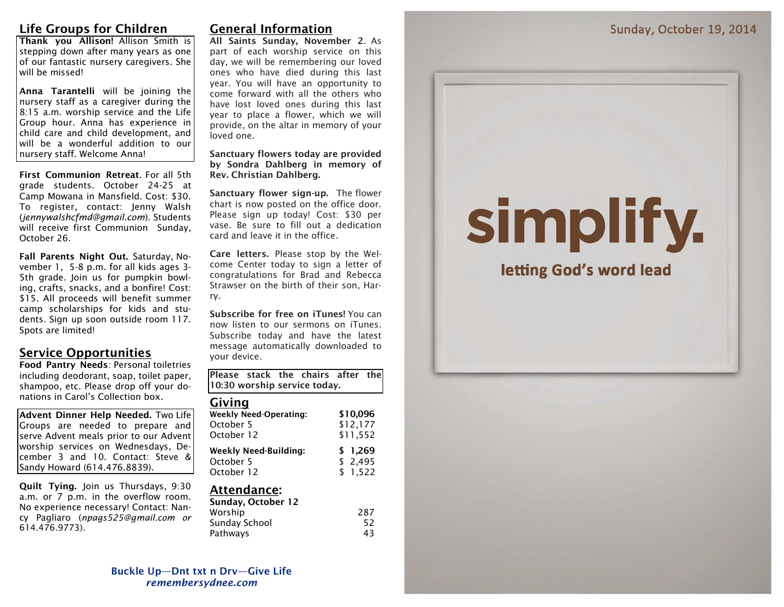### **Life Groups for Children**

**Thank you Allison!** Allison Smith is stepping down after many years as one of our fantastic nursery caregivers. She will be missed!

**Anna Tarantelli** will be joining the nursery staff as a caregiver during the 8:15 a.m. worship service and the Life Group hour. Anna has experience in child care and child development, and will be a wonderful addition to our nursery staff. Welcome Anna!

**First Communion Retreat**. For all 5th grade students. October 24-25 at Camp Mowana in Mansfield. Cost: \$30. To register, contact: Jenny Walsh (*jennywalshcfmd@gmail.com*). Students will receive first Communion Sunday, October 26.

**Fall Parents Night Out.** Saturday, November 1, 5-8 p.m. for all kids ages 3- 5th grade. Join us for pumpkin bowling, crafts, snacks, and a bonfire! Cost: \$15. All proceeds will benefit summer camp scholarships for kids and students. Sign up soon outside room 117. Spots are limited!

#### **Service Opportunities**

**Food Pantry Needs**: Personal toiletries including deodorant, soap, toilet paper, shampoo, etc. Please drop off your donations in Carol's Collection box.

**Advent Dinner Help Needed.** Two Life Groups are needed to prepare and serve Advent meals prior to our Advent worship services on Wednesdays, December 3 and 10. Contact: Steve & Sandy Howard (614.476.8839).

**Quilt Tying.** Join us Thursdays, 9:30 a.m. or 7 p.m. in the overflow room. No experience necessary! Contact: Nancy Pagliaro (*npags525@gmail.com or*  614.476.9773).

## **General Information**

**All Saints Sunday, November 2**. As part of each worship service on this day, we will be remembering our loved ones who have died during this last year. You will have an opportunity to come forward with all the others who have lost loved ones during this last year to place a flower, which we will provide, on the altar in memory of your loved one.

**Sanctuary flowers today are provided by Sondra Dahlberg in memory of Rev. Christian Dahlberg.** 

**Sanctuary flower sign-up.** The flower chart is now posted on the office door. Please sign up today! Cost: \$30 per vase. Be sure to fill out a dedication card and leave it in the office.

**Care letters.** Please stop by the Welcome Center today to sign a letter of congratulations for Brad and Rebecca Strawser on the birth of their son, Harry.

**Subscribe for free on iTunes!** You can now listen to our sermons on iTunes. Subscribe today and have the latest message automatically downloaded to your device.

**Please stack the chairs after the 10:30 worship service today.**

#### **Giving**

| <b>Weekly Need-Operating:</b> | \$10.096 |
|-------------------------------|----------|
| October 5                     | \$12,177 |
| October 12                    | \$11,552 |
| <b>Weekly Need-Building:</b>  | \$1.269  |
| October 5                     | \$2,495  |
| October 12                    | \$1.522  |

#### **Attendance:**

| 287 |
|-----|
| 52  |
| 43  |
|     |

# simplify.

letting God's word lead